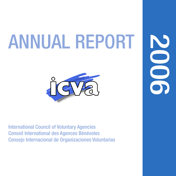# ANNUAL REPORT



ANNUAL REPORT 2006 **1**

**2006** 

International Council of Voluntary Agencies Conseil International des Agences Bénévoles Consejo Internacional de Organizaciones Voluntarias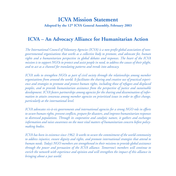### **ICVA Mission Statement**

**Adopted by the 12th ICVA General Assembly, February 2003**

### **ICVA – An Advocacy Alliance for Humanitarian Action**

*The International Council of Voluntary Agencies (ICVA) is a non-profit global association of nongovernmental organisations that works as a collective body to promote, and advocate for, human rights and a humanitarian perspective in global debates and responses. The heart of the ICVA mission is to support NGOs to protect and assist people in need, to address the causes of their plight, and to act as a channel for translating patterns and trends into advocacy.*

*ICVA seeks to strengthen NGOs as part of civil society through the relationships among member organisations from around the world. It facilitates the sharing and creative use of practical experience and strategies to promote and protect human rights, including those of refugees and displaced peoples, and to provide humanitarian assistance from the perspective of justice and sustainable development. ICVA fosters partnerships among agencies for the sharing and dissemination of information to attain consensus among member agencies on prioritised issues in order to effect change, particularly at the international level.*

*ICVA advocates vis-à-vis governments and international agencies for a strong NGO role in efforts to secure human rights, prevent conflicts, prepare for disasters, and improve humanitarian responses to distressed populations. Through its cooperative and catalytic nature, it gathers and exchanges information and raises awareness on the most vital matters of humanitarian concern before policymaking bodies.*

*ICVA has been in existence since 1962. It works to secure the commitment of the world community to address injustice, ensure dignity and rights, and promote international strategies that attend to human needs. Today's NGO members are strengthened in their missions to provide global assistance through the power and persuasion of the ICVA alliance. Tomorrow's members will continue to enrich the network with experience and opinion and will strengthen the impact of this alliance in bringing about a just world.*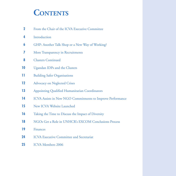### **CONTENTS**

- From the Chair of the ICVA Executive Committee
- Introduction
- GHP: Another Talk Shop or a New Way of Working?
- More Transparency in Recruitments
- Clusters Continued
- Ugandan IDPs and the Clusters
- Building Safer Organisations
- Advocacy on Neglected Crises
- Appointing Qualified Humanitarian Coordinators
- ICVA Assists in New NGO Commitments to Improve Performance
- New ICVA Website Launched
- Taking the Time to Discuss the Impact of Diversity
- NGOs Get a Role in UNHCR's EXCOM Conclusions Process
- Finances
- ICVA Executive Committee and Secretariat
- ICVA Members 2006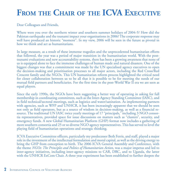### **FROM THE CHAIR OF THE ICVA EXECUTIVE**

Dear Colleagues and Friends,

Where were you over the northern winter and southern summer holidays of 2004-5? How did the Pakistan earthquake and the tsunami impact your organisations in 2006? The corporate response may well have produced an historic "moment". In my view, 2006 will be seen in the future as pivotal in how we think and act as humanitarians.

In large measure, as a result of these immense tragedies and the unprecedented humanitarian efforts that followed, the year was a period of major transition in the humanitarian world. With the posttsunami evaluations and new accountability systems, there has been a growing awareness that none of us is equipped alone to face the immense challenges of human made and natural disasters. One of the biggest changes was that a commitment was made by the UN specialised agency executives to open the decision-making and prioritisation processes to all major actors, including the Red Cross/Red Crescent family and the NGOs. This UN humanitarian reform process highlighted the critical need for closer collaboration between us to be all that it is possible to be for meeting the needs of our mutual field partners and beneficiaries. For the first time in the post-World War II era we are seen as equal players.

Since the early 1990s, the NGOs have been suggesting a better way of operating in asking for full membership in coordinating committees, such as the Inter-Agency Standing Committee (IASC), and in field technical/sectoral meetings, such as logistics and water/sanitation. As implementing partners with agencies, such as WFP and UNHCR, it has been increasingly apparent that we should be seen not only as field operators, but as a source of wisdom in decision-making, as well as a financial resource. The traditional UN IASC twice yearly meetings of 17 "principals," including 3 NGO consortia representatives, provided space for issue discussions on matters such as "clusters", security, and emergency funds. A new Global Humanitarian Platform (GHP) format now includes a gathering of more southern consortia and 25 or so diverse NGO agency representatives. This has served to level the playing field of humanitarian operations and strategic thinking.

ICVA Executive Committee officers, particularly my predecessor Beth Ferris, and staff, played a major role in the investment of the intellectual formulation and moral capital, as well as the driving energy to bring the GHP from conception to birth. The 2006 ICVA General Assembly and Conference, with the theme *NGOs: The Principles and Politics of Humanitarian Action*, was a major impetus and led to inter-agency initiatives, including inter-agency missions to CAR, DRC, and to Uganda, the latter with the UNHCR ExCom Chair. A three year experiment has been established to further deepen the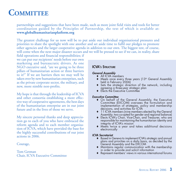### **COMMITTEE**

#### partnerships and suggestions that have been made, such as more joint field visits and tools for better coordination guided by the Principles of Partnership, the text of which is available at: **www.globalhumanitarianplatform.org**

The greatest challenge for us now will be to put aside our individual organisational pressures and priorities to share the spotlight with one another and set aside time to fulfil our pledges to promote other agencies and the larger cooperative agenda in addition to our own. The biggest test, of course, will come when the next major disaster occurs and we will be pressed to see if we can, in reality, share

field operations and financial responsibilities; if we can put our recipients' needs before our own marketing and bureaucratic drivers. As one NGO executive said, "are we going to be three pillars of humanitarian action or three barriers to it?" If we are barriers then we may well be taken over by new humanitarian enterprises, such as the private corporate sector, the military, and new, more nimble non-profits.

My hope is that through the leadership of ICVA and other consortia establishing a more effective way of cooperative agreements, the best days of the humanitarian enterprise are in our joint future and in the lives of those we serve.

My sincere personal thanks and deep appreciation go to each of you who have embraced the reform agenda and to each member organisation of ICVA, which have provided the base for the highly successful contributions of our joint actions in 2006.

#### Courage,

Tom Getman Chair, ICVA Executive Committee

### **ICVA'S STRUCTURE**

#### **General Assembly**

- ♦ All ICVA members
- $\blacklozenge$  Meets once every three years (13<sup>th</sup> General Assembly held in February 2006)
- ♦ Sets the strategic direction of the network, including agreeing a three-year strategic plan
- ◆ Elects the Executive Committee

#### **Executive Committee**

- ♦ On behalf of the General Assembly, the Executive Committee (EXCOM) oversees the formulation and implementation of strategies, policy and membership decisions, and activities for ICVA
- ♦ 11 ICVA members (nine members elected by the General Assembly; two co-opted for gender and regional balance)
- ♦ Elects ICVA's Chair, Vice-Chair, and Treasurer, who are responsible for maintaining the humanitarian identity and integrity of ICVA's mission
- ♦ Meets twice a year and takes additional decisions electronically

#### **ICVA Secretariat**

- ♦ Based in Geneva to implement ICVA's strategic and annual plans and priorities on a daily basis, as decided by the General Assembly and the EXCOM
- ♦ Maintains regular communication with the membership in order to provide and solicit information
- ♦ Represent members' views in various international forums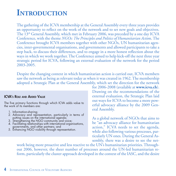### **INTRODUCTION**

The gathering of the ICVA membership at the General Assembly every three years provides an opportunity to reflect on the work of the network and to set new goals and objectives. The 13th General Assembly, which met in February 2006, was preceded by a one day ICVA Conference, with the theme *NGOs: The Principles and Politics of Humanitarian Actio*n. The Conference brought ICVA members together with other NGOs, UN humanitarian agencies, inter-governmental organisations, and governments and allowed participants to take a step back, to discuss their differences, and to engage in a more honest reflection about the ways in which we work together. The Conference aimed to help kick-off the next three year strategic period for ICVA, following an external evaluation of the network for the period 2003-2005.

Despite the changing context in which humanitarian action is carried out, ICVA members saw the network as being as relevant today as when it was created in 1962. The membership adopted a Strategic Plan at the General Assembly, which set the direction for the network

#### **ICVA's ROLE AND ADDED VALUE**

The five primary functions through which ICVA adds value to the work of its members are:

- 1. Information-sharing;
- 2. Advocacy and representation, particularly in terms of
- putting issues on the international agenda; 3. Strengthening the NGO community and voice;
- 4. Facilitating relationships with international organisations,
- 5. Enhancing NGO visibility through representation.

for 2006-2008 (available at **www.icva.ch**). Drawing on the recommendations of the external evaluation, the Strategic Plan laid out ways for ICVA to become a more powerful advocacy alliance by the 2009 General Assembly.

As a global network of NGOs that aims to be "an advocacy alliance for humanitarian action," ICVA needs to set the agenda, while also following various processes, particularly UN ones. During the General Assembly, there was a desire to see the net-

work being more proactive and less reactive to the UN's humanitarian priorities. Throughout 2006, however, the sheer number of processes around the UN-led humanitarian reform, particularly the cluster approach developed in the context of the IASC, and the desire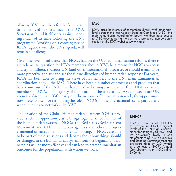of many ICVA members for the Secretariat to be involved in these, meant the ICVA Secretariat found itself, once again, spending much of its time following the UN's programme. Working on a convergence of ICVA's agenda with the UN's agenda will remain a challenge.

### **IASC**

ICVA raises the interests of its members directly with other highlevel actors in the Inter-Agency Standing Committee (IASC – the main humanitarian coordination body). Members have access to IASC documents via the password protected members-only section of the ICVA website: **www.icva.ch**

Given the level of influence that NGOs had on the UN-led humanitarian reform, there is a fundamental question for ICVA members: should ICVA be a means for NGOs to access and try to influence various UN (and other international) processes or should it aim to be more proactive and try and set the future directions of humanitarian response? For years, ICVA has been able to bring the views of its members to the UN's main humanitarian coordination body – the IASC. There have been a number of processes and products that have come out of the IASC that have involved strong participation from NGOs that are members of ICVA. The majority of actors around the table at the IASC, however, are UN agencies. Given that NGOs carry out the majority of humanitarian work, the opportunity now presents itself for rethinking the role of NGOs on the international scene, particularly when it comes to networks like ICVA.

The creation of the Global Humanitarian Platform (GHP) provides such an opportunity, as it brings together three families of the humanitarian system – NGOs, the Red Cross/Red Crescent Movement, and UN humanitarian agencies and other inter-governmental organisations – on an equal footing. If NGOs are able to be part of the discussions and debates about how things should be changed in the humanitarian system from the beginning, partnerships will be more effective and can lead to better humanitarian outcomes for the populations with whom we work.

#### **UNHCR**

ICVA works on behalf of NGOs to provide input to the highest levels of the UN High Commissioner for Refugees (UNHCR) and its governing body. NGO statements to UNHCR's Executive and Standing Committee meetings are coordinated by ICVA, which also co-hosts UNHCR's Annual Consultations with NGOs (Pre-ExCom).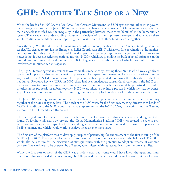## **GHP: ANOTHER TALK SHOP OR A NEW**

When the heads of 25 NGOs, the Red Cross/Red Crescent Movement, and UN agencies and other inter-governmental organisations met in July 2006 to discuss how to enhance the effectiveness of humanitarian response, the main obstacle identified was the inequality in the partnership between these three "families" in the humanitarian system. There was a clear understanding that unless "principles of partnership" were developed and adhered to, there would continue to be difficulties in improving the way in which these three families work together.

Since the early '90s, the UN's main humanitarian coordination body has been the Inter-Agency Standing Committee (IASC), created to provide the Emergency Relief Coordinator (ERC) with a tool for coordination of humanitarian response. In reality, the IASC has had limited impact in improving response on the ground. One of its weaknesses is that it does not reflect operational realities. NGOs, which are providing the bulk of actual assistance on the ground, are outnumbered by the more than 10 UN agencies at the table, some of which have only a minimal involvement in humanitarian response.

The July 2006 meeting was an attempt to overcome this imbalance by inviting those NGOs who have a significant operational capacity and/or a specific regional presence. The impetus for the meeting had also partly arisen from the way in which the UN-led humanitarian reform process had been presented. Following the publication of the Humanitarian Response Review (HRR) in 2005, there had been inadequate substantial discussions in the IASC context about how to move the various recommendations forward and which ones should be prioritised. Instead of prioritising the proposals for reform together, NGOs were asked to buy into a process in which they felt no ownership. They were asked to jump on board a moving train when they had no idea in which direction it was heading.

The July 2006 meeting was unique in that it brought so many representatives of the humanitarian community together at the heads of agency level. The heads of the IASC were, for the first time, meeting directly with heads of NGOs, in addition to the NGO consortia that are represented on the IASC (ICVA, InterAction, and the Steering Committee for Humanitarian Response).

The meeting allowed for frank discussion, which resulted in clear agreement that a new way of working had to be found. To facilitate this new way forward, the Global Humanitarian Platform (GHP) was created in order to provide more strategic partnerships. The GHP was designed as an *ad hoc*, action-oriented platform that operates in a flexible manner, and which would work to achieve its goals over three years.

The first aim of the platform was to develop principles of partnership for endorsement at the first meeting of the GHP in July 2007. These principles are meant to form the basis of inter-agency work at the field level. The GHP would also be a forum for the discussion of strategic issues, with the potential to adopt statements of common concern. The work was to be overseen by a Steering Committee, with representatives from the three families.

While the first year of work of the GHP was a little slower than some would have liked, the open and frank discussions that were held at the meeting in July 2007 proved that there is a need for such a forum, at least for now.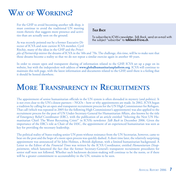### **WAY OF WORKING?**

For the GHP to avoid becoming another talk shop, it must continue to avoid the traditional UN meeting room rhetoric that suggests more presence and activities than are actually seen on the ground.

### **TALK BACK**

To subscribe to ICVA's newsletter, Talk Back, send an e-mail with the subject "subscribe" to **talkback@icva.ch**.

As was recently pointed out by a former Executive Director of ICVA and now current ICVA member, Cyril Ritchie, many of the ideas in the GHP and the *Princi-*

*ples of Partnership* mirror the dreams of ICVA in the '60s and '70s. The challenge, this time, will be to make sure that those dreams become a reality so that we do not repeat a similar exercise again in another 40 years.

In order to ensure open and transparent sharing of information related to the GHP, ICVA set up a page on its website, but with the independent web address of **www.globalhumanitarianplatform.org**. ICVA will continue to maintain this web page, with the latest information and documents related to the GHP, until there is a feeling that it should be hosted elsewhere.

### **MORE TRANSPARENCY IN RECRUITMENTS**

The appointment of senior humanitarian officials in the UN system is often shrouded in mystery (and politics). It is not even clear to the UN's closest partners – NGOs – how or why appointments are made. In 2002, ICVA began a tradition by calling for an open and transparent recruitment process for the UN High Commissioner for Refugees. That call (which was repeated in 2005 for the following High Commissioner's appointment) was also applied to the recruitment process for the post of UN Under-Secretary-General for Humanitarian Affairs, also known by the title of Emergency Relief Coordinator (ERC), with the publication of an article entitled "Selecting the Next UN Humanitarian Chief: The Worst Recruiting Crisis?" in ICVA's newsletter *Talk Back* in December 2006. Given the importance of the ERC's role as Chair of the IASC, the appointment of an experienced humanitarian was seen as key for providing the necessary leadership.

The political reality of States trading senior UN posts without resistance from the UN Secretariat, however, came to bear on the post and the hope of a more open process was quickly dashed. A short time later, the relatively surprising appointment was announced of Sir John Holmes, a British diplomat, with a limited humanitarian background. A Letter to the Editor of the *Financial Times* was written by the ICVA Coordinator, entitled *Humanitarian Disappointment*, which lamented the fact that the former Secretary-General's transparent recruitment procedures for senior staff were not followed. Whether such backroom decision-making will continue to be the norm, or if there will be a greater commitment to accountability in the UN, remains to be seen.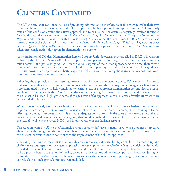### **CLUSTERS CONTINUED**

The ICVA Secretariat continued its role of providing information to members to enable them to make their own decisions about their engagement with the cluster approach. It also supported attempts within the IASC to clarify much of the confusion around the cluster approach and to ensure that the clusters adequately involved interested NGOs, through the development of the *Guidance Note on Using the Cluster Approach to Strengthen Humanitarian Response* and, later in the year, through the *Interim Self-Assessment*. At the same time, the ICVA Secretariat also looked at two of the cluster roll-out countries – the Democratic Republic of Congo (DRC) and Uganda [see piece entitled *Ugandan IDPs and the Clusters*] – as a means of trying to help ensure that the views of NGOs were being taken into consideration during the implementation of clusters.

At the invitation of OCHA's Humanitarian Reform Support Unit, Secretariat staff travelled to DRC to look at the roll-out of the clusters in March 2006. The visit provided an opportunity to engage in discussions with key humanitarian actors – and particularly NGOs – on the various aspects of the cluster approach. At the time, there were a number of frustrations about what was seen as a headquarters imposed system, which had come with little guidance. The visit provided an opportunity to better explain the clusters, as well as to highlight areas that needed more work in terms of the overall cluster architecture.

Following the application of the cluster approach in the Pakistan earthquake response, ICVA member ActionAid undertook an evaluation of the implementation of clusters in what was the first major new emergency where clusters were being used. In order to help contribute to learning lessons as a broader humanitarian community, the report was launched in Geneva with ICVA. A panel discussion, including ActionAid staff who had worked directly with the clusters in Pakistan, highlighted some of the positives of the approach, as well as areas of weakness where more work needed to be done.

What came out clearly from that evaluation was that it is extremely difficult to attribute whether a humanitarian response is necessarily better (or worse) because of clusters. Given that each emergency involves unique factors affecting response, it becomes impossible to make adequate comparisons. At the same time, there are a number of issues that arise in almost every major emergency that could be highlighted because of the cluster approach, such as the lack of involvement of local NGOs and local structures in the Pakistan response.

The reaction from the UN to the ActionAid report was quite defensive in many ways, with questions being asked about the methodology and the conclusions being drawn. The report was not meant to provide a definitive view of the clusters, but was meant to contribute to the improvement of the cluster approach.

One thing that has become clear is that considerable time was spent at the headquarters level in order to try and clarify the various aspects of the cluster approach. The development of the *Guidance Note*, to which the Secretariat provided considerable input to ensure the concerns and interests of members were adequately reflected, was meant to help provide better explanations of the key terms and processes around the cluster approach. However, during the negotiation of the *Guidance Note*, involving various agencies, the language became quite lengthy, and sometimes not entirely clear, as each agency's interests were included.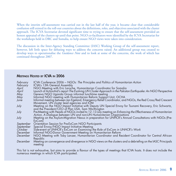When the interim self-assessment was carried out in the last half of the year, it became clear that considerable confusion still existed in the roll-out countries about the definitions, roles, and objectives associated with the cluster approach. The ICVA Secretariat devoted significant time to trying to ensure that the self-assessment provided an honest appraisal of the clusters up until that point. NGO co-facilitators were identified by the ICVA Secretariat for the workshops held in DRC and Somalia, to help ensure NGO views were taken into consideration.

The discussion in the Inter-Agency Standing Committee (IASC) Working Group of the self-assessment report, however, left little space for debating ways to address the concerns raised. An additional group was created to develop ways to operationalise the *Guidance Note* and to look at some of the concerns, the work of which has continued throughout 2007.

#### **MEETINGS HOSTED BY ICVA IN 2006**

| February<br>February | ICVA Conference 2006 - NGOs: The Principles and Politics of Humanitarian Action<br>ICVA's 13th General Assembly                                                    |
|----------------------|--------------------------------------------------------------------------------------------------------------------------------------------------------------------|
| April                | NGO Meeting with Eric Laroche, Humanitarian Coordinator for Somalia                                                                                                |
| April                | Launch of ActionAid's report The Evolving UN Cluster Approach in the Pakistan Earthquake: An NGO Perspective<br>Geneva NGO Uganda Group informal lunchtime meeting |
| May                  |                                                                                                                                                                    |
| May                  | Informal NGO meeting with Humanitarian Reform Support Unit, OCHA                                                                                                   |
| June                 | Informal meeting between Jan Egeland, Emergency Relief Coordinator, and NGOs, the Red Cross/Red Crescent<br>Movement, UN cluster lead agencies and IOM             |
| July                 | Meeting on the NGO Impact Initiative with Deputy UN Special Envoy for Tsunami Recovery, Eric Schwartz,<br>and the President/CEO of Plan USA, Sam Worthington       |
| July                 | Pre-Meeting with Heads of NGOs invited to 12-13 July meeting on Enhancing the Effectiveness of Humanitarian                                                        |
|                      | Action, A Dialogue between UN and non-UN Humanitarian Organisations                                                                                                |
| July                 | Meeting on the Asylum-Migration Nexus in preparation for UNHCR's Annual Consultations with NGOs (Pre-<br>ExCom)                                                    |
| September            | Orientation Session for Pre-ExCom NGO Participants                                                                                                                 |
| September            | Special Envoy/NGO Impact Initiative Meeting                                                                                                                        |
| October              | Side-event at UNHCR's ExCom on Examining the Role of ExCom in UNHCR's Work                                                                                         |
| December             | Informal NGO-Donor Government Meeting on Humanitarian Reform                                                                                                       |
| December             | NGO Meeting with Toby Lanzer, Humanitarian Coordinator and Resident Coordinator for Central African<br>Republic                                                    |
| December             | Meeting on convergence and divergence in NGO views on the clusters and a debriefing on the IASC Principals<br>meeting                                              |

This list is not exhaustive, but aims to provide a flavour of the types of meetings that ICVA hosts. It does not include the numerous meetings in which ICVA participated.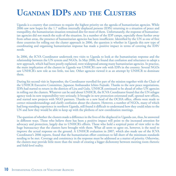### **UGANDAN IDPS AND THE CLUSTERS**

Uganda is a country that continues to require the highest priority on the agenda of humanitarian agencies. While 2006 saw new hopes for the 1.7 million internally displaced persons (IDPs) returning to a situation of peace and tranquillity, the humanitarian situation remained dire for most of them. Unfortunately, the response of humanitarian agencies did not match the scale of the situation. In a number of the IDP camps, especially those further away from urban areas, the presence of humanitarian agencies has been insufficient. Identified by the UN as one of first three countries for rolling out the cluster approach in 2006, the question is whether in Uganda this new type of coordinating and organising humanitarian response has made a positive impact in terms of covering the IDPs' needs.

In 2006, the ICVA Coordinator undertook two visits to Uganda to look at the humanitarian response and the relationship between the UN system and NGOs. In May 2006, he found that confusion and reluctance to adopt a new approach, which had been poorly explained, were widespread among many humanitarian agencies. In practice, the main implication of the clusters in Uganda was UNHCR's new role with IDPs in the country. Several NGOs saw UNHCR's new role as too little, too late. Other agencies viewed it as an attempt by UNHCR to dominate them.

During his second visit in September, the Coordinator travelled for part of the mission together with the Chair of the UNHCR Executive Committee, Japanese Ambassador Ichiro Fujisaki. Thanks to the new peace negotiations, IDPs had started to return in the districts of Lira and Gulu. UNHCR continued to be ahead of other UN agencies in rolling out the clusters. Whatever can be said about UNHCR, the ICVA Coordinator found that the UN refugee agency took its new responsibility very seriously. It brought in new protection-orientated staff, opened new offices, and started new projects with NGO partners. Thanks to a new head of the OCHA office, efforts were made to correct misunderstandings and clarify confusion about the clusters. However, a number of NGOs, many of which had long-standing experience in northern Uganda, still found it difficult to understand how they could relate to the UN and how they would be able to keep up with the plethora of new coordination meetings.

The question of whether the clusters made a difference in the lives of the displaced in Uganda can, thus, be answered in different ways. Those who believe there has been a positive impact will point to the increased attention for advocacy and protection, largely due to UNHCR's efforts. Those who hold a sceptical point of view refer to the huge bureaucracy that the clusters have brought with them. What all seem to agree on, however, is the need to improve the actual response on the ground. A UNHCR evaluation in 2007, which also made use of the ICVA Coordinator's 2006 reports, found that the humanitarian effort continues to fall short of the minimum standards needing to be met. Coverage and consistency in the response must be addressed as a matter of priority. Otherwise, the clusters may provide little more than the result of creating a bigger dichotomy between meeting room rhetoric and field-level reality.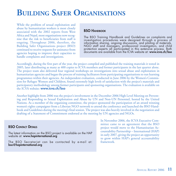### **BUILDING SAFER ORGANISATIONS**

While the problem of sexual exploitation and abuse by humanitarian workers is most closely associated with the 2002 reports from West Africa and Nepal, most organisations now recognise that the risk to beneficiaries from staff is ongoing. Throughout 2006, therefore, the Building Safer Organisations project (BSO) continued to receive requests for assistance from agencies hoping to improve their capacities to handle complaints and investigations.

#### **BSO HANDROOK**

The BSO Training Handbook and Guidelines on complaints and investigation procedures were designed through a process of information sharing, ongoing discussions, and piloting of materials. NGO staff and managers, professional investigators, and child protection experts all participated in this extensive process. Both documents are available from the ICVA website at: **www.icva.ch/bso**

Accordingly, during the first part of the year, the project compiled and published the training materials it tested in 2005, later distributing as many as 400 copies to ICVA members and former participants in the last quarter alone. The project team also delivered four regional workshops on investigations into sexual abuse and exploitation in humanitarian agencies and began the process of training facilitators from participating organisations to run learning programmes within their agencies. An independent evaluation, conducted in June 2006 by the Women's Commission for Refugee Women and Children, found extremely high levels of satisfaction with the project's materials and participatory methodology among former participants and sponsoring organisations. The evaluation is available on the ICVA website: **www.icva.ch/bso**

Another highlight from 2006 was the project's involvement in the December 2006 High Level Meeting on Preventing and Responding to Sexual Exploitation and Abuse by UN and Non-UN Personnel, hosted by the United Nations. As a member of the organising committee, the project sponsored the participation of an award winning women's rights campaigner from a Liberian NGO network to attend the conference and launched the BSO Handbook and Guidelines during the meeting's final session. The project was also heavily involved in the negotiation and drafting of a Statement of Commitment endorsed at the meeting by UN agencies and NGOs.

#### **BSO CONTACT DETAILS**

The latest information on the BSO project is available on the HAP website at: **www.hapinternational.org**

The BSO Secretariat can be contacted by e-mail at: **bso@hapinternational.org**

In November 2006, the ICVA Executive Committee came to an agreement that the BSO project would move to the Humanitarian Accountability Partnership – International (HAP) in early 2007, giving the project an opportunity to grow within HAP's general accountability framework.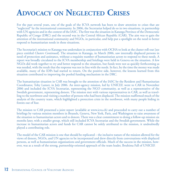### **ADVOCACY ON NEGLECTED CRISES**

For the past several years, one of the goals of the ICVA network has been to draw attention to crises that are "neglected" by the international community. In 2006, the Secretariat helped do so in two situations, in partnership with UN agencies and in the context of the IASC. The first was the situation in Katanga Province of the Democratic Republic of Congo (DRC) and the second was in the Central African Republic (CAR). The aim was to gain the attention of the international community and NGOs, in particular, and help put a spotlight on the need to better respond to humanitarian needs in these situations.

The Secretariat's mission to Katanga was undertaken in conjunction with OCHA to look at the cluster roll-out [see piece entitled *Clusters Continued*]. The situation in Katanga, in March 2006, saw internally displaced persons in need of protection and assistance, without a requisite number of humanitarian actors to respond to these needs. A report was broadly circulated to the ICVA membership and briefings were held in Geneva on the situation. A few NGOs did work together to try and better respond to the situation, but funds were not as quickly forthcoming as was needed, with the result that the response was not in line with the needs. In fact, by the time the money was made available, many of the IDPs had started to return. On the positive side, however, the lessons learned from this situation contributed to improving the pooled funding mechanism in the DRC.

The humanitarian situation in CAR was brought to the attention of the IASC by the Resident and Humanitarian Coordinator, Toby Lanzer, in July 2006. An inter-agency mission, led by UNICEF, went to CAR in November 2006 and included the ICVA Secretariat, representing the NGO community, as well as a representative of the Swedish government, representing donors. The mission met with various representatives in CAR, as well as travelling to the northwest and visiting a number of persons who had been displaced. The mission reaffirmed much of the analysis of the country team, which highlighted a protection crisis in the northwest, with many people hiding in forests out of fear.

The mission to CAR presented a joint report (available at www.icva.ch) and proceeded to carry out a number of briefings by various mission members in Brussels, Geneva, New York, Paris, and Washington to raise awareness of the situation to humanitarian actors and to donors. There was a clear commitment to doing a follow-up mission six months later, with a smaller group, which still included ICVA Secretariat and the Swedish government. While the increase in humanitarian actors and funds for CAR cannot be solely attributed to the mission, it undoubtedly played a contributing role.

The model of the CAR mission is one that should be replicated – the inclusive nature of the mission allowed for the views of donors, NGOs, and UN agencies to be incorporated and drew directly from conversations with displaced persons, as well as humanitarian organisations and government officials. Much of the success in the mission, however, was as a result of the strong, partnership-oriented approach of the team leader, Ibrahima Fall of UNICEF.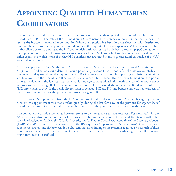# **APPOINTING QUALIFIED HUMANITARIAN COORDINATORS**

One of the pillars of the UN-led humanitarian reform was the strengthening of the function of the Humanitarian Coordinator (HCs). The role of the Humanitarian Coordinator in emergency response is one that is meant to service the broader humanitarian community. While this function has been in place since the mid-nineties, too often candidates have been appointed who did not have the requisite skills and experience. A key element involved in this pillar was to try and make the HC pool (which until last year had only been a tool on paper) and appointment process more open to humanitarian actors outside of the UN. Those who have thorough operational humanitarian experience, which is one of the key HC qualifications, are found in much greater numbers outside of the UN system than within it.

A call was put out to NGOs, the Red Cross/Red Crescent Movement, and the International Organization for Migration to find suitable candidates that could potentially become HCs. A pool of applicants was selected, with the hope that they would be called upon to act as HCs in a necessary situation, for up to a year. Their organisations would allow them the time off and they would be able to contribute, hopefully, to a better humanitarian response. Prior to deployment, the idea was that they would undergo some familiarisation with the role of an HC, such as working with an existing HC for a period of months. Some of them would also undergo the Resident Coordinator (RC) assessment, to provide the possibility for them to act as an HC and RC, and because there are many aspects of the RC assessment that can also provide indicators for a good HC.

The first non-UN appointment from the HC pool was to Uganda and was from an ICVA member agency. Unfortunately, the appointment was made rather quickly, during the last few days of the previous Emergency Relief Coordinator's term. Due to a number of complicating factors, the post eventually had to be withdrawn.

The consequence of this experience, however, seems to be a reluctance to have separate HCs from RCs. As one NGO representative pointed out at an HC retreat, combining the positions of HCs and RCs (along with other roles, like Designated Official (DO) for UN security and/or Deputy Special Representative of the Secretary-General (DSRSG) and/or Resident Representative of UNDP) requires a "superman" or "superwoman". Given that such superheroes are few and far between, it would seem that a rethinking of the system is required so that each of these positions can be adequately carried out. Otherwise, the achievements in the strengthening of the HC function might turn out to be artificial.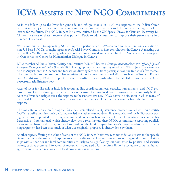### **ICVA ASSISTS IN NEW NGO COMMITMENTS**

As in the follow-up to the Rwandan genocide and refugee exodus in 1994, the response to the Indian Ocean tsunami was subject to a number of significant evaluations and initiatives to help humanitarian agencies learn lessons for the future. The NGO Impact Initiative, initiated by the UN Special Envoy for Tsunami Recovery, Bill Clinton, was one of these processes that pushed NGOs to adopt measures to improve their performance in a number of key areas.

With a commitment to supporting NGOs' improved performance, ICVA accepted an invitation from a coalition of nine US-based NGOs, brought together by Special Envoy Clinton, to host consultations in Geneva. A meeting was held at ICVA's offices in mid-July, while a second meeting, hosted and chaired by the ICVA Secretariat, took place in October at the Centre for Humanitarian Dialogue in Geneva.

ICVA member All India Disaster Mitigation Institute (AIDMI) hosted a *Strategic Roundtable on the Office of Special Envoy/NGO Impact Initiative* (OSE/NII) following up on the meetings organised by ICVA in July. The event was held in August 2006 in Chennai and focused on drawing feedback from participants on the Initiative's five themes. The roundtable also discussed complementarities with other key international efforts, such as the Tsunami Evaluation Coalition (TEC). A report of the roundtable was published by AIDMI shortly after (see: **www.southasiadisasters.net**).

Areas of focus for discussions included: accountability, coordination, local capacity, human rights, and NGO professionalism. Overshadowing all these debates was the issue of a centralised mechanism or structure to certify NGOs. As in the Rwandan refugee crisis, the response to the tsunami saw new NGOs active in a situation in which many of them had little or no experience. A certification system might exclude these newcomers from the humanitarian response.

The consultations on a draft proposal for a new, centralised quality assurance mechanism, which would certify NGOs, as well as monitor their performance, led to a rather watered-down final text. Many of the NGOs participating in the process pointed to existing structures and bodies, such as, for example, the Humanitarian Accountability Partnership – International, which already play such a role. Instead, these NGOs committed to reporting publicly on an annual basis on the progress they have made on the NGO Impact Initiative's recommendations. Their winning argument has been that much of what was originally proposed is already done by them.

Another aspect affecting the value of some of the NGO Impact Initiative's recommendations relates to the specific circumstances of the tsunami. Response to a natural disaster will see recovery efforts starting on day one. Relationships with authorities and local communities are likely to be significantly less dominated by political and security factors, such as access and freedom of movement, compared with the often limited acceptance of humanitarian agencies and strained relations with local powers in war situations.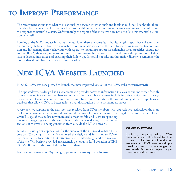### **TO IMPROVE PERFORMANCE**

The recommendations as to what the relationships between internationals and locals should look like should, therefore, should have made a clear caveat related to the difference between humanitarian action in armed conflict and the response to natural disasters. Unfortunately, the report of the initiative does not articulate this essential distinction very well.

Looking at the NGO Impact Initiative one year later, there are some fears that its lengthy report has collected dust on too many shelves. Follow-up on valuable recommendations, such as the need for devoting resources to coordination and influencing donor behaviour, with regards to including support for enhancing local capacities, should not go lost. ICVA, therefore, remains committed to improving humanitarian action through the promotion of these lessons-learned initiatives and ensuring their follow-up. It should not take another major disaster to remember the lessons that should have been learned much earlier.

### **NEW ICVA WEBSITE LAUNCHED**

In 2006, ICVA was very pleased to launch the new, improved version of the ICVA website: **www.icva.ch**

The updated website design has a slicker look and provides access to information in a clearer and more user-friendly format, making it easier for members to find what they need. New features include intuitive navigation bars, easyto-use tables of contents, and an improved search function. In addition, the website integrates a comprehensive database that allows ICVA to better tailor e-mail distribution lists to its members' needs.

A very positive response to the new look was received from ICVA members, with appreciative feedback on the more professional format, which makes identifying the source of information and accessing documents easier and faster. Overall usage of the site has now increased almost tenfold and users are spending

less time navigating within the site. There is also increased usage of the public sections of the website being generated from outside the ICVA network.

ICVA expresses great appreciation for the success of the improved website to its creators, Wyrdwright, Inc., which tailored the design and functions to ICVA's particular needs. In addition to its attentive and detailed design and construction of the site, Wyrdwright provided an extremely generous in-kind donation of CHF 59,595.50 towards the cost of the website overhaul.

For more information on Wyrdwright, please see: **www.wyrdwright.com**

#### **WEBSITE PASSWORDS**

Each staff member of an ICVA member organisation is entitled to a password to the ICVA website:<br>www.icva.ch. ICVA members simply need to send a message to **webmaster@icva.ch** requesting a username and password.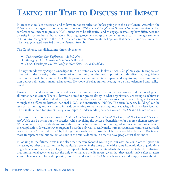### **TAKING THE TIME TO DISCUSS THE IMPACT**

In order to stimulate discussion and to have an honest reflection before going into the  $13<sup>th</sup>$  General Assembly, the ICVA Secretariat organised a one-day conference on *NGOs: The Principles and Politics of Humanitarian Action*. The conference was meant to provoke ICVA members to be self-critical and to engage in assessing how differences and diversity impact on humanitarian work. By bringing together a range of experiences and actors – from governments to NGOs to UN agencies to the Red Cross/Red Crescent Movement, the hope was that debate would be stimulated. The ideas generated were fed into the General Assembly.

The Conference was divided into three sub-themes:

- ♦ *Understanding Our Differences As It Is Now*;
- ♦ *Managing Our Diversity As It Should Be*; and
- ♦ *Future Challenges: Are We Ready to Meet Them As It Could Be*.

The keynote address by Angelo Gnaediger, ICRC Director-General, looked at *The Value of Diversity*. He emphasised three points: the diversity of the humanitarian community and the basic implications of this diversity; the guidance that International Humanitarian Law (IHL) provides about humanitarian space; and ways to improve communication between different humanitarian actors. He spoke of collaboration needing to be field-orientated and realitybased.

During the panel discussions, it was made clear that diversity is apparent in the motivations and methodologies of all humanitarian actors. There is, however, a need for greater clarity in what organisations are trying to achieve so that we can better understand why they take different decisions. We also have to address the challenges of working through the differences between national NGOs and international NGOs. The term "capacity building" can be seen as patronising and we should, instead, be looking to harness existing local capacity, which is often ignored. There is also a need for greater dialogue to improve understanding between western NGOs and Islamic NGOs.

There were discussions about how the *Code of Conduct for the International Red Cross and Red Crescent Movement and NGOs* can be better put into practice, while involving the voices of beneficiaries for a more coherent response. While we have many standards and tools already in the humanitarian community, what is needed is enforcement of their application. It was, however, suggested that the only way to really make humanitarian actors more accountable was to actually "name and shame" by leaking stories to the media. Another felt that it would be better if NGOs were more transparent and put evaluations out in the public domain, in order to have people trust them more.

In looking to the future, it was made clear that the way forward was to get "our own houses in order," given the increasing number of actors on the humanitarian scene. At the same time, while some humanitarian organisations might be able to create a "super league" that upholds high professional standards, there also had to be the realisation that international agencies are not the only ones that are the life savers, given that they usually arrive after disasters strike. There is a need for real support by northern and southern NGOs, which goes beyond simply talking about it.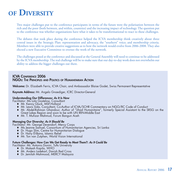### **OF DIVERSITY**

Two major challenges put to the conference participants in terms of the future were the polarisation between the rich and the poor (both between, and within, countries) and the increasing impact of technology. The question put to the conference was whether organisations have what it takes to be transformational to react to these challenges.

The debates that took place during the conference helped the ICVA membership think creatively about three central issues in the Strategic Plan: representation and advocacy, the "southern" voice; and membership criteria. Members were able to provide creative suggestions as to how the network would evolve from 2006-2008. They also elected a new Executive Committee to oversee the work of the network.

The challenges posed at the conference and discussed at the General Assembly will need to continue to be addressed by the ICVA membership. The real challenge will be to make sure that our day-to-day work does not overwhelm our ability to address the bigger challenges out there.

#### **ICVA CONFERENCE 2006 NGOS: THE PRINCIPLES AND POLITICS OF HUMANITARIAN ACTION**

**Welcome:** Dr. Elizabeth Ferris, ICVA Chair, and Ambassador Blaise Godet, Swiss Permanent Representative

**Keynote Address:** Mr. Angelo Gnaediger, ICRC Director-General

#### **Understanding Our Differences: As It Is Now**

Facilitator: Ms Lola Gostelow, Consultant

- ♦ Mr. Kenny Gluck, MSF-Holland
- ◆ Mr. Lewis Sida, Consultant, Co-Author of ICVA/SCHR Commentary on NGO/RC Code of Conduct
- ♦ Mr. Abdel-Rahman Ghandour, Author of "Jihad Humanitaire", formerly Special Assistant to the SRSG on the Great Lakes Region and soon to be with UN IRIN-Middle East
- ♦ Mr. T. Mufizar Mahmud, Forum Bangun Aceh

#### **Managing Our Diversity: As It Should Be**

Facilitator: Mr. George Devendorf, Mercy Corps

- ♦ Ms Jeanne Samuel, Consortium of Humanitarian Agencies, Sri Lanka
- ♦ Dr. Hugo Slim, Centre for Humanitarian Dialogue
- ♦ Dr. Hany El-Bana, Islamic Relief
- ◆ Mr. Ton van Zutphen, World Vision International

#### **Future Challenges: How Can We Get Ready to Meet Them?: As It Could Be**

Facilitator: Mr. Antonio Donini, Tufts University

- ♦ Dr. Mukesh Kapila, WHO
- ♦ Mr. Anders Ladekarl, Danish Red Cross
- ♦ Dr. Jemilah Mahmood, MERCY Malaysia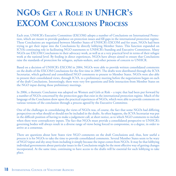# **NGOS GET A ROLE IN UNHCR'S EXCOM CONCLUSIONS PROCESS**

Each year, UNHCR's Executive Committee (EXCOM) adopts a number of Conclusions on International Protection, which are meant to provide guidance on protection issues and fill gaps in the international protection regime. These Conclusions are negotiated between Member States of UNHCR's EXCOM and for years, NGOs had been trying to get their input into the Conclusions by directly lobbying Member States. This function expanded on ICVA's continuing role in facilitating NGO statements to UNHCR's Standing and Executive Committees. Many NGOs use EXCOM Conclusions in their advocacy work, as well as at a very practical level in terms of their refugee work at the national level. By feeding in direct experiences, NGOs have always aimed to ensure that Conclusions raise the standards of protection for refugees, asylum-seekers, and other persons of concern to UNHCR.

Based on a decision of UNHCR's EXCOM in 2004, NGOs were able to provide written consolidated comments on the drafts of the EXCOM Conclusions for the first time in 2005. The drafts were distributed through the ICVA Secretariat, which gathered and consolidated NGO comments to present to Member States. NGOs were also able to present their consolidated views, through ICVA, to a preliminary meeting before the negotiations began on each of the draft Conclusions. Interestingly, there were very few questions and little interaction from Member States on the NGO input during those preliminary meetings.

In 2006, a thematic Conclusion was adopted on Women and Girls at Risk – a topic that had been put forward by a number of NGOs concerned by the protection gaps that exist in the international protection regime. Much of the language of the Conclusion drew upon the practical experiences of NGOs, which were able to provide comments on various versions of the conclusion through a process agreed by the Executive Committee.

One of the challenges in consolidating the views of NGOs was, of course, the fact that some NGOs had differing perspectives on what should or should not be included in the drafts. As often happens, the ICVA Secretariat was put in the difficult position of having to make a judgement call, at short notice, as to which NGO comments to include when there were contradictory inputs. The fact that NGOs must provide a consolidated perspective to UNHCR's governing bodies will always result in a diverse range of views being forced to compromise, to a degree, in order to arrive at a consensus.

There are questions about how States view NGO comments on the draft Conclusions and, thus, how useful a process it is for NGOs to take the time to provide consolidated comments. Several Member States seem to be wary of NGO input and shy away from including it simply because the input comes from NGOs. It may be that lobbying individual governments about particular issues in the Conclusions might be the most effective way of getting changes incorporated. At the same time, continuing to have access to the drafts will be essential for such lobbying to take place.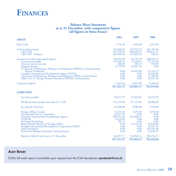### **FINANCES**

#### **Balance Sheet Statement as at 31 December, with comparative figures (all figures in Swiss francs)**

| <b>ASSETS</b>                                                                                                                                                                                                                                                                                                                       | 2004                                                                                       | 2005                                                                                | 2006                                                                                          |
|-------------------------------------------------------------------------------------------------------------------------------------------------------------------------------------------------------------------------------------------------------------------------------------------------------------------------------------|--------------------------------------------------------------------------------------------|-------------------------------------------------------------------------------------|-----------------------------------------------------------------------------------------------|
| Petty Cash                                                                                                                                                                                                                                                                                                                          | 1,776.50                                                                                   | 1,016.60                                                                            | 1,253.55                                                                                      |
| Cash in bank accounts<br><b>UBS CHF</b><br><b>UBS CHF</b> - Projects                                                                                                                                                                                                                                                                | 493,668.82<br>107,768.52<br>385,900.30                                                     | 435,922.52<br>300,029.93<br>135,892.59                                              | 491,765.46<br>490,827.21<br>938.25                                                            |
| Accounts receivable and prepaid expenses<br>Accounts receivable<br>Taxes on interest income<br>Prepaid expenses<br>US Bureau of Population, Refugees and Migration (BPRM) via International                                                                                                                                         | 120,762.90<br>113,840.15<br>186.85<br>6,735.90                                             | 66,785.39<br>8,566.55<br>345.74<br>32,047.30                                        | 200,536.43<br>52,165.69<br>550.89<br>0.00                                                     |
| <b>Rescue Committee</b><br>Canadian International Development Agency (CIDA)<br>US Bureau of Population, Refugees and Migration (PRM) via InterAction<br>Office of U.S. Foreign Disaster Assistance (OFDA) via InterAction                                                                                                           | 0.00<br>0.00<br>0.00<br>0.00                                                               | 25,825.80<br>0.00<br>0.00<br>0.00                                                   | 41,742.25<br>10,760.00<br>71,390.20<br>23,927.40                                              |
| Guarantee deposit                                                                                                                                                                                                                                                                                                                   | 1,023.05                                                                                   | 8,327.60                                                                            | 8,363.60                                                                                      |
|                                                                                                                                                                                                                                                                                                                                     | 617,231.27                                                                                 | 512,052.11                                                                          | 701,919.04                                                                                    |
| <b>LIABILITIES</b>                                                                                                                                                                                                                                                                                                                  |                                                                                            |                                                                                     |                                                                                               |
| Accounts payable                                                                                                                                                                                                                                                                                                                    | 38,457.70                                                                                  | 37,022.05                                                                           | 18,479.30                                                                                     |
| IM World Aid (member loan due 31.12.98)                                                                                                                                                                                                                                                                                             | 135,125.00                                                                                 | 131,125.00                                                                          | 60,600.00                                                                                     |
| <b>Accruals &amp; Provisions</b>                                                                                                                                                                                                                                                                                                    | 24,500.00                                                                                  | 6,500.00                                                                            | 7,749.00                                                                                      |
| Foreign Affairs Canada<br><b>International Rescue Committee</b><br>Canadian International Development Agency<br><b>UNHCR</b><br><b>Stichting Vluchteling</b><br>Royal Danish Ministry of Foreign Affairs<br>Swedish International Development Cooperation (SIDA)<br>Oak Foundation<br>Reach Out Refugee Protection Training Project | 12,371.85<br>45,497.95<br>288,014.85<br>6,420.00<br>786.75<br>0.00<br>0.00<br>0.00<br>0.00 | 7,695.20<br>0.00<br>161,686.25<br>0.00<br>0.00<br>41,121.40<br>0.00<br>0.00<br>0.00 | 7,695.20<br>0.00<br>0.00<br>0.00<br>0.00<br>39,996.40<br>33,537.92<br>163,236.30<br>22,430.35 |
| Reserve (-deficit) carry over at 31 December                                                                                                                                                                                                                                                                                        | 66,057.17                                                                                  | 126,902.21                                                                          | 348,194.57                                                                                    |
|                                                                                                                                                                                                                                                                                                                                     | 617,213.27                                                                                 | 512,052.11                                                                          | 701,919.04                                                                                    |

### **AUDIT REPORT**

ICVA's full audit report is available upon request from the ICVA Secretariat: **secretariat@icva.ch**.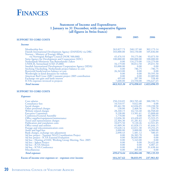

#### **Statement of Income and Expenditures 1 January to 31 December, with comparative figures (all figures in Swiss francs)**

| 2004                     | 2005                                                                                                                | 2006                                                                                                              |
|--------------------------|---------------------------------------------------------------------------------------------------------------------|-------------------------------------------------------------------------------------------------------------------|
|                          |                                                                                                                     |                                                                                                                   |
| 263,827.73<br>103,000.00 | 240,137.60<br>103,150.00                                                                                            | 302,173.14<br>105,836.00                                                                                          |
| 45,476.93<br>100,000.00  | 59,175.06<br>100,000.00                                                                                             | 93,073.50<br>100,000.00<br>116,279.00                                                                             |
| 34,179.00<br>83,000.00   | 30,812.50<br>0.00                                                                                                   | 29,651.50<br>0.00<br>$-786.75$                                                                                    |
| 26,343.00<br>0.00        | 0.00<br>0.00                                                                                                        | 0.00<br>59,595.50                                                                                                 |
| 495.60<br>7,600.00       | 207.90<br>23,550.00                                                                                                 | 22,089.00<br>558.40<br>194,627.65                                                                                 |
| 663,922.26               | 674,098.81                                                                                                          | 1,023,096.95                                                                                                      |
|                          |                                                                                                                     |                                                                                                                   |
|                          |                                                                                                                     |                                                                                                                   |
| 250,218.85<br>10,510.97  | 283,705.40<br>9,022.00                                                                                              | 388,590.73<br>0.00                                                                                                |
| 130.00                   | 42,036.05<br>2,468.56                                                                                               | 110,238.58<br>239.70                                                                                              |
| 9,198.80<br>1,770.00     | 13,501.61<br>0.00                                                                                                   | 66,948.60<br>15,808.60<br>40,789.95                                                                               |
| 12,036.30<br>22,304.30   | 43,428.69<br>31,281.82                                                                                              | 15,923.25<br>7,229.69<br>12,921.85                                                                                |
| 41,009.30<br>19,628.14   | 41,828.15<br>22,011.30                                                                                              | 41,644.15<br>19,252.25                                                                                            |
| 2,090.43                 | 1,481.12                                                                                                            | 4,900.00<br>580.45<br>0.00                                                                                        |
| 0.00<br>0.00             | 36,603.80<br>5,163.00                                                                                               | 0.00<br>0.00                                                                                                      |
| 0.00<br>0.00             | 0.00<br>0.00                                                                                                        | 24,422.48<br>4,007.21<br>31,638.44                                                                                |
| 0.00                     | 305.00                                                                                                              | 0.00<br>785,135.93                                                                                                |
|                          |                                                                                                                     | 237,961.02                                                                                                        |
|                          | 0.00<br>0.00<br>0.00<br>89,461.90<br>28,240.15<br>10,075.50<br>3,000.00<br>0.00<br>0.00<br>499,674.64<br>164,247.62 | 116,279.00<br>786.75<br>0.00<br>44,724.40<br>9,120.26<br>3,000.00<br>26,383.70<br>0.00<br>616,064.86<br>58,033.95 |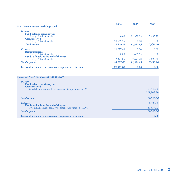| <b>IASC Humanitarian Workshop 2004</b>                                                         | 2004      | 2005      | 2006       |
|------------------------------------------------------------------------------------------------|-----------|-----------|------------|
|                                                                                                |           |           |            |
| <b>Income</b>                                                                                  |           |           |            |
| <b>Fund balance previous year</b><br>Foreign Affairs Canada                                    | 0.00      | 12,371.85 | 7,695.20   |
| <b>Grant received</b>                                                                          |           |           |            |
| Foreign Affairs Canada                                                                         | 28,649.25 | 0.00      | 0.00       |
| <b>Total</b> <i>income</i>                                                                     | 28,649.25 | 12,371.85 | 7,695.20   |
| <b>Expenses</b>                                                                                | 16,277.40 | 0.00      | 0.00       |
| <b>Reimbursements</b><br>Foreign Affairs Canada                                                | 0.00      | 4,676.65  | 0.00       |
| Funds available at the end of the year<br>Foreign Affairs Canada                               | 12,371.85 | 7,695.20  | 7,695.20   |
| <b>Total</b> expenses                                                                          | 16,277.40 | 12,371.85 | 7,695.20   |
| Excess of income over expenses or - expenses over income                                       | 12,371.85 | 0.00      | 0.00       |
|                                                                                                |           |           |            |
| <b>Increasing NGO Engagement with the IASC</b>                                                 |           |           |            |
| <b>Income</b><br>Fund balance previous year                                                    |           |           |            |
|                                                                                                |           |           | 121,945.80 |
| <b>Grant</b> received<br>Swedish International Development Cooperation (SIDA)                  |           |           | 121,945.80 |
| <b>Total</b> <i>income</i>                                                                     |           |           | 121,945.80 |
| <b>Expenses</b>                                                                                |           |           | 88,407.88  |
| Funds available at the end of the year<br>Swedish International Development Cooperation (SIDA) |           |           | 33,537.92  |
| <b>Total expenses</b>                                                                          |           |           | 121,945.80 |
| Excess of income over expenses or - expenses over income                                       |           |           | 0.00       |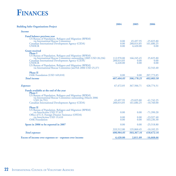### **FINANCES**

| <b>Building Safer Organisations Project</b>                                                                                | 2004                      | 2005                       | 2006                         |
|----------------------------------------------------------------------------------------------------------------------------|---------------------------|----------------------------|------------------------------|
| <i>Income</i>                                                                                                              |                           |                            |                              |
| Fund balance previous year                                                                                                 |                           |                            |                              |
| US Bureau of Population, Refugees and Migration (BPRM)<br>via International Rescue Committee                               | 0.00                      | 45,497.95                  | $-25,825.80$                 |
| Canadian International Development Agency (CIDA)<br><b>UNHCR</b>                                                           | 0.00<br>0.00              | 288,014.85<br>6,420.00     | 161,686.25<br>0.00           |
| <b>Grant received</b>                                                                                                      |                           |                            |                              |
| <b>Phase I</b>                                                                                                             |                           |                            |                              |
| US Bureau of Population, Refugees and Migration (BPRM)<br>via International Rescue Committee outstanding (2005 USD 20,236) | 112,970.00                | 166,245.45                 | 25,825.80                    |
| Canadian International Development Agency (CIDA)                                                                           | 288,014.85                | 0.00                       | 0.00                         |
| <b>UNHCR</b>                                                                                                               | 6,420.00                  | 0.00                       | 0.00                         |
| US Bureau of Population, Refugees and Migration (BPRM)<br>via International Rescue Committee Jan/Feb 2006 USD 25,371       |                           |                            | 32,543.40                    |
| <b>Phase II</b>                                                                                                            |                           |                            |                              |
| OAK Foundation (USD 169,018)                                                                                               | 0.00                      | 0.00                       | 207,773.85                   |
| <b>Total</b> income                                                                                                        | 407,404.85                | 506,178.25                 | 402,003.50                   |
| <b>Expenses</b>                                                                                                            | 67,472.05                 | 367,506.71                 | 428,774.51                   |
| Funds available at the end of the year<br><b>Phase I</b>                                                                   |                           |                            |                              |
| US Bureau of Population, Refugees and Migration (BPRM)                                                                     |                           |                            |                              |
| via International Rescue Committee outstanding (March 2006)                                                                |                           |                            |                              |
| USD 34,791)<br>Canadian International Development Agency (CIDA)                                                            | 45, 497. 95<br>288,014.85 | $-25,825.80$<br>161,686.25 | $-41,742.25$<br>$-10,760.00$ |
|                                                                                                                            |                           |                            |                              |
| <b>Phase II</b>                                                                                                            |                           |                            |                              |
| US Bureau of Population, Refugees and Migration (BPRM)<br>via InterAction USD 57,612                                       | 0.00                      | 0.00                       | $-71,390.20$                 |
| Office of U.S. Foreign Disaster Assistance (OFDA)                                                                          |                           |                            |                              |
| via InterAction USD 19,410<br><b>OAK</b> Foundation                                                                        | 0.00<br>0.00              | 0.00<br>0.00               | $-23,927.40$<br>163,236.30   |
|                                                                                                                            |                           |                            |                              |
| Spent in 2006 to be reported in 2007                                                                                       | 0.00                      | 0.00                       | $-25,518.80$                 |
|                                                                                                                            | 333,512.80                | 135,860.45                 | $-10,102.35$                 |
| <b>Total</b> expenses                                                                                                      | 400,984.85                | 503,367.16                 | 418,672.16                   |
| Excess of income over expenses or - expenses over income                                                                   | 6,420.00                  | 2,811.09                   | $-16,668.66$                 |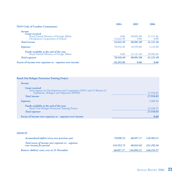| <b>NGO Code of Conduct Commentary</b>                                                                  | 2004              | 2005              | 2006              |
|--------------------------------------------------------------------------------------------------------|-------------------|-------------------|-------------------|
| <i>Income</i>                                                                                          |                   |                   |                   |
| <b>Grant</b> received<br>Royal Danish Ministry of Foreign Affairs<br>Develpment Cooperation of Ireland | 0.00<br>52,622.50 | 60,081.00<br>0.00 | 41,121.40<br>0.00 |
| <b>Total</b> <i>income</i>                                                                             | 52,622.50         | 60.081.00         | 41,121.40         |
| <b>Expenses</b>                                                                                        | 70,916.40         | 18,959.60         | 1,125.00          |
| <b>Funds available at the end of the year</b><br>Royal Danish Ministry of Foreign Affairs              | 0.00              | 41,121.40         | 39,996.40         |
| <b>Total expenses</b>                                                                                  | 70,916.40         | 60,081.00         | 41,121.40         |
| Excess of income over expenses or - expenses over income                                               | $-18,293.90$      | 0.00              | 0.00              |

| <b>Reach Out Refugee Protection Training Project</b>                                                                                      |           |
|-------------------------------------------------------------------------------------------------------------------------------------------|-----------|
| <i>Income</i>                                                                                                                             |           |
| <b>Grant received</b><br>Swiss Agency for Development and Cooperation (SDC) and US Bureau of<br>Population, Refugees and Migration (BPRM) | 27,918.85 |
| <b>Total</b> <i>income</i>                                                                                                                | 27,918.85 |
| <b>Expenses</b>                                                                                                                           | 5,488.50  |
| <b>Funds available at the end of the year</b><br>Reach Out Refugee Protection Training Project                                            | 22,430.35 |
| <b>Total</b> expenses                                                                                                                     | 27,918.85 |
| Excess of income over expenses or - expenses over income                                                                                  | 0.00      |

#### **DEFICIT**

| Accumulated deficit carry over previous year                                 | $-79.896.55$ |                       | 66.057.17 126.902.21 |
|------------------------------------------------------------------------------|--------------|-----------------------|----------------------|
| Total excess of income over expenses or - expenses<br>over income for period | 145,953,72   | 60,845.04 221,292.36  |                      |
| <b>Reserve (deficit) carry over at 31 December</b>                           | 66,057.17    | 126,902.21 348,194.57 |                      |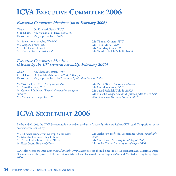### **ICVA EXECUTIVE COMMITTEE 2006**

#### *Executive Committee Members (until February 2006)*

**Chair:** Dr. Elizabeth Ferris, *WCC* **Vice-Chair:** Mr. Mamadou Ndiaye, *OFADEC* **Treasurer:** Mr. Jappe Erichsen, *NRC*

Mr. Saman Amarasinghe, *NNGOC* Mr. Gregory Brown, *IRC* Mr. John Damerell, *LWF* Mr. Keshav Gautam, *ActionAid*

Mr. Thomas Getman, *WVI* Mr. Titon Mitra, *CARE* Ms Ann Mary Olsen, *DRC* Mr. Sayed Fazlullah Wahidi, *ANCB*

#### *Executive Committee Members (Elected by the 13th General Assembly, February 2006)*

**Chair:** Mr. Thomas Getman, *WVI* **Vice-Chair:** Dr. Jemilah Mahmood, *MERCY Malaysia* **Treasurer:** Mr. Jappe Erichsen, *NRC (assisted by Mr. Paul Nesse in 2007)*

Ms Vivi Akakpo, *AACC (co-opted member)* Mr. Muzaffer Baca, *IBC* Ms Carolyn Makinson, *Women's Commission (co-opted member)* Mr. Mamadou Ndiaye, *OFADEC*

Mr. Paul O'Brien, *Concern Worldwide* Ms Ann Mary Olsen, *DRC* Mr. Sayed Fazlullah Wahidi, *ANCB* Mr. Halakhe Waqo, *ActionAid (position filled by Mr. Shah Alam Liton and Ms Annie Street in 2007)*

### **ICVA SECRETARIAT 2006**

By the end of 2006, the ICVA Secretariat functioned on the basis of a 4.10 full-time equivalent (FTE) staff. The positions at the Secretariat were filled by:

Mr. Ed Schenkenberg van Mierop, Coordinator Ms Manisha Thomas, Policy Officer Mr. Myke Leahy, Information Officer Ms Ester Dross, Finance Officer

Ms Lieske Pott Hofstede, Programme Advisor (*until July 2006*) Ms Anne Kluser, Secretary (*until August 2006*) Ms Louise Clemo, Secretary (*as of August 2006*)

ICVA also hosted the inter-agency *Building Safer Organisations* project, the full-time Project Coordinator, Ms Katharina Samara-Wickrama, and the project's full-time interns, Ms Coleen Heemskerk (*until August 2006*) and Ms Radha Ivory (*as of August 2006*).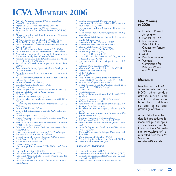## **ICVA MEMBERS 2006**

- ♦ Action by Churches Together (ACT), *Switzerland*
- ◆ ActionAid International
- Afghan NGOs Coordination Bureau (ANCB)
- ◆ Africa Humanitarian Action (AHA), *Ethiopia*<br>◆ Africa and Middle East Refugee Assistance (
- Africa and Middle East Refugee Assistance (AMERA), *UK*
- ♦ African Council for Adult and Continuing Education (ARCACE), *Kenya*
- All Africa Conference of Churches (AACC), *Kenya*
- ♦ All India Disaster Mitigation Institute (AIDMI)
- AMEL Association (Lebanese Association for Popular Action) (AMEL)
- ♦ Anatolian Development Foundation (ADF), *Turkey*
- ♦ Asian Institute for Rural Development (AIRD), *India*
- Asociacion Nacional de Centros de Investigacion, Promocion Social y Desarollo (ANC), *Peru*
- ♦ Association Béninoise de Lutte Contre la Faim et la Misère du Peuple (ASCOFAM), *Benin*
- ♦ Association of Development Agencies in Bangladesh (ADAB)
- ♦ Association of Voluntary Agencies for Rural Development (AVARD), *India*
- ♦ Australian Council for International Development (ACFID)
- ♦ BADIL Resource Center for Palestinian Residency and Refugee Rights (BADIL)
- ◆ British Refugee Council (BRC)<br>← Canadian Council for Refugees
- Canadian Council for Refugees (CCR)
- CARE International
- ◆ Catholic Agency for Overseas Development (CAFOD)<br>← Chinese Relief Association (CRA) Triver
- ♦ Chinese Relief Association (CRA), *Taiwan*
- Christian Aid, UK
- ♦ Church World Service (CWS), *USA*
- Christian Relief and Development Association (CRDA), *Ethiopia*
- ♦ Community and Family Services International (CFSI), *Philippines*
- ◆ Concern Worldwide, *Ireland*<br>◆ Consejo de Instituciones de D
- ♦ Consejo de Instituciones de Desarrollo (COINDE), *Guatemala*
- ♦ Danish Refugee Council (DRC)
- Dutch Council for Refugees/VluchtelingenWerk Nederland (DCR)
- ♦ EMO-BARAKA, Union Pour la Promotion du Paysan (EMO-BARAKA), *Burundi*
- ♦ Federacion de Organismos No Gubernamentales de Nicaragua (FONG)
- ♦ Fundacion Augusto Cesar Sandino (FACS), *Nicaragua*
- ♦ Frontiers (Ruwad) Association, *Lebanon*
- General Union of Voluntary Societies (GUVS), *Jordan*
- ◆ Greek Council of Refugees<sup>'</sup>(GCR)<br>◆ HealthNet TPO *Netherlands*
- HealthNet TPO, Netherlands
- ◆ HelpAge International<br>◆ Human Appeal Interna
- Human Appeal International (HAI), *United Arab Emirates*
- ♦ Human Rights First (HRF), *USA*
- Indian Institute of Youth and Development (IIYD)
- Individuell Människohjälp (Swedish Organisation for Individual Relief) (IM)
- InterAction (American Council for Voluntary International Action)
- InterAid International (IAI), *Switzerland*
- International Blue Crescent Relief and Development Foundation (IBC), *Turkey*
- ♦ International Catholic Migration Commission (ICMC)
- International Islamic Relief Organisation (IIRO), *Saudi Arabia*
- International Rehabilitation Council for Torture Victims (IRCT), *Denmark*
- **International Rescue Committee (IRC)**
- International Save the Children Alliance
- ♦ Islamic Relief Agency (ISRA), *Sudan*
- Italian Consortium of Solidarity (ICS)
- Jesuit Refugee Service (JRS) Lebanese NGO Forum (LNF)
- Liaison Unit of Non-Governmental Organisations of Seychelles (LUNGOS)
- Lutheran Immigration and Refugee Service (LIRS), *USA*
- Lutheran World Federation (LWF)
- Mauritius Council of Social Service (MACOSS)
- Médecins du Monde (MDM)
- **MERCY Malaysia**
- ♦ Merlin, *UK*
- ♦ Mission Armenia (Arakelutune Hayastan) (MA)
- National NGO Council of Sri Lanka (NNGOC)
- Norwegian Refugee Council (NRC)
- Office Africain pour le Développement et la Coopération (OFADEC), *Senegal*
- Oxfam GB
- Plan International
- Refugee Children and Vulnerable Citizens (RCVC), *Tajikistan*
- Refugee Education Trust (RET), *Switzerland*
- Refugees International (RI)
- Rural Development Foundation of Pakistan (RDFP)
- Salvation Army International
- Sarvodaya Shramadana Sangamaya (Sarvodaya), Sri *Lanka*
- Sierra Leone Association of Non-Governmental Organisations (SLANGO)
- Stichting Vluchteling (SV), *Netherlands*
- Télécoms sans Frontières International (TSF)
- ♦ Thailand Burma Border Consortium (TBBC), *Thailand*
- ♦ Union for Support and Development of Afghanistan (VAF), *Germany*
- Women's Commission for Refugee Women and Children, *USA*
- World Council of Churches (WCC)
- World Society for the Protection of Animals (WSPA)
- World Vision International (WVI)

#### **PERMANENT OBSERVERS**

- ♦ Human Rights Watch (HRW)
- International Committee of the Red Cross (ICRC)
- International Federation of Red Cross and Red Crescent Societies (IFRC)
- Médecins sans Frontières International (MSF)

#### **NEW MEMBERS IN 2006**

- ♦ Frontiers (Ruwad) Association
- ◆ HealthNet TPO<br>▲ International
- International Rehabilitation Council for Torture Victims
- **Merlin**
- Plan International
- Women's Commission for Refugee Women and Children

#### **MEMBERSHIP**

Membership in ICVA is open to international NGOs, which conduct activities in two or more countries; international federations; and international or national groupings of NGOs.

A full list of members, detailed procedures for membership, and application forms can be found on the ICVA website (**www.icva.ch**) or requested from the ICVA Secretariat: **secretariat@icva.ch**.